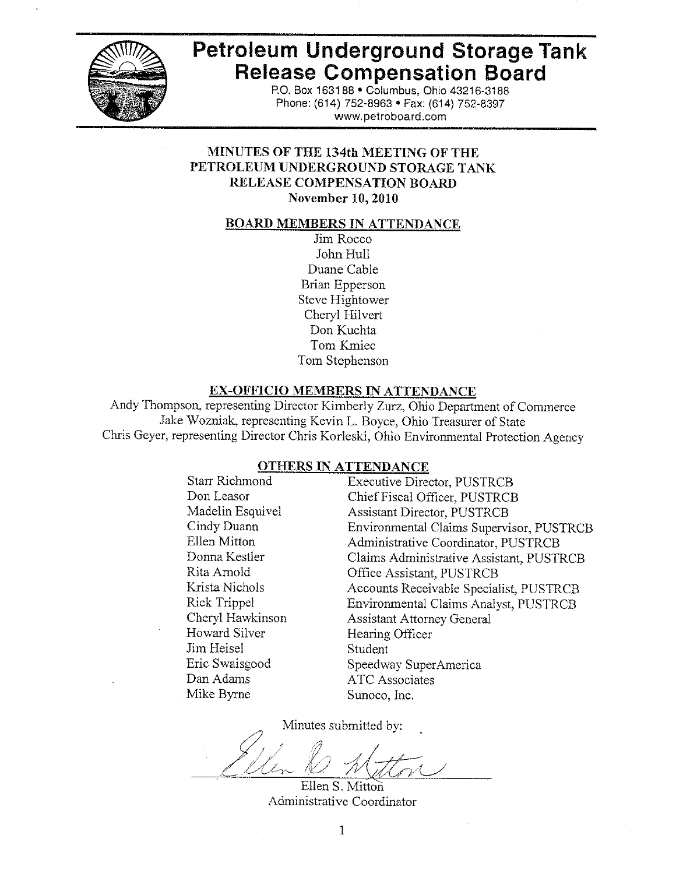

# Petroleum Underground Storage Tank **Release Compensation Board**

P.O. Box 163188 . Columbus, Ohio 43216-3188 Phone: (614) 752-8963 · Fax: (614) 752-8397 www.petroboard.com

# MINUTES OF THE 134th MEETING OF THE PETROLEUM UNDERGROUND STORAGE TANK **RELEASE COMPENSATION BOARD** November 10, 2010

#### <u>BOARD MEMBERS IN ATTENDANCE</u>

Jim Rocco John Hull Duane Cable Brian Epperson Steve Hightower Cheryl Hilvert Don Kuchta Tom Kmiec Tom Stephenson

#### **EX-OFFICIO MEMBERS IN ATTENDANCE**

Andy Thompson, representing Director Kimberly Zurz, Ohio Department of Commerce Jake Wozniak, representing Kevin L. Boyce, Ohio Treasurer of State Chris Geyer, representing Director Chris Korleski, Ohio Environmental Protection Agency

#### **OTHERS IN ATTENDANCE**

**Starr Richmond** Don Leasor Madelin Esquivel Cindy Duann Ellen Mitton Donna Kestler Rita Arnold Krista Nichols Rick Trippel Cheryl Hawkinson Howard Silver Jim Heisel Eric Swaisgood Dan Adams Mike Byrne

**Executive Director, PUSTRCB** Chief Fiscal Officer, PUSTRCB **Assistant Director, PUSTRCB** Environmental Claims Supervisor, PUSTRCB Administrative Coordinator, PUSTRCB Claims Administrative Assistant, PUSTRCB Office Assistant, PUSTRCB Accounts Receivable Specialist, PUSTRCB Environmental Claims Analyst, PUSTRCB **Assistant Attorney General** Hearing Officer Student Speedway SuperAmerica **ATC** Associates Sunoco, Inc.

Minutes submitted by:

Ellen S. Mitton

Administrative Coordinator

 $\mathbf{1}$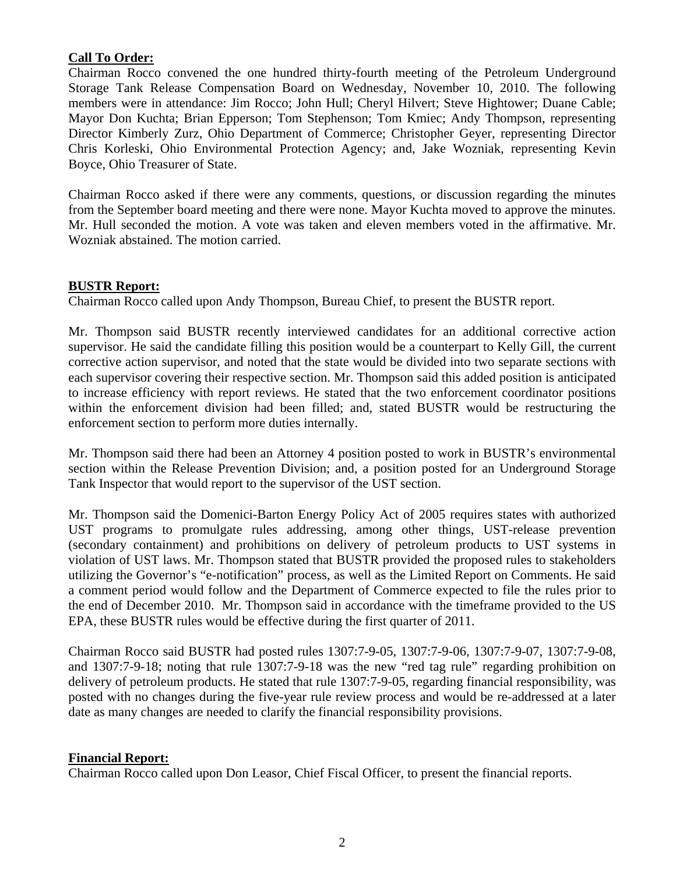## **Call To Order:**

Chairman Rocco convened the one hundred thirty-fourth meeting of the Petroleum Underground Storage Tank Release Compensation Board on Wednesday, November 10, 2010. The following members were in attendance: Jim Rocco; John Hull; Cheryl Hilvert; Steve Hightower; Duane Cable; Mayor Don Kuchta; Brian Epperson; Tom Stephenson; Tom Kmiec; Andy Thompson, representing Director Kimberly Zurz, Ohio Department of Commerce; Christopher Geyer, representing Director Chris Korleski, Ohio Environmental Protection Agency; and, Jake Wozniak, representing Kevin Boyce, Ohio Treasurer of State.

Chairman Rocco asked if there were any comments, questions, or discussion regarding the minutes from the September board meeting and there were none. Mayor Kuchta moved to approve the minutes. Mr. Hull seconded the motion. A vote was taken and eleven members voted in the affirmative. Mr. Wozniak abstained. The motion carried.

## **BUSTR Report:**

Chairman Rocco called upon Andy Thompson, Bureau Chief, to present the BUSTR report.

Mr. Thompson said BUSTR recently interviewed candidates for an additional corrective action supervisor. He said the candidate filling this position would be a counterpart to Kelly Gill, the current corrective action supervisor, and noted that the state would be divided into two separate sections with each supervisor covering their respective section. Mr. Thompson said this added position is anticipated to increase efficiency with report reviews. He stated that the two enforcement coordinator positions within the enforcement division had been filled; and, stated BUSTR would be restructuring the enforcement section to perform more duties internally.

Mr. Thompson said there had been an Attorney 4 position posted to work in BUSTR's environmental section within the Release Prevention Division; and, a position posted for an Underground Storage Tank Inspector that would report to the supervisor of the UST section.

Mr. Thompson said the Domenici-Barton Energy Policy Act of 2005 requires states with authorized UST programs to promulgate rules addressing, among other things, UST-release prevention (secondary containment) and prohibitions on delivery of petroleum products to UST systems in violation of UST laws. Mr. Thompson stated that BUSTR provided the proposed rules to stakeholders utilizing the Governor's "e-notification" process, as well as the Limited Report on Comments. He said a comment period would follow and the Department of Commerce expected to file the rules prior to the end of December 2010. Mr. Thompson said in accordance with the timeframe provided to the US EPA, these BUSTR rules would be effective during the first quarter of 2011.

Chairman Rocco said BUSTR had posted rules 1307:7-9-05, 1307:7-9-06, 1307:7-9-07, 1307:7-9-08, and 1307:7-9-18; noting that rule 1307:7-9-18 was the new "red tag rule" regarding prohibition on delivery of petroleum products. He stated that rule 1307:7-9-05, regarding financial responsibility, was posted with no changes during the five-year rule review process and would be re-addressed at a later date as many changes are needed to clarify the financial responsibility provisions.

## **Financial Report:**

Chairman Rocco called upon Don Leasor, Chief Fiscal Officer, to present the financial reports.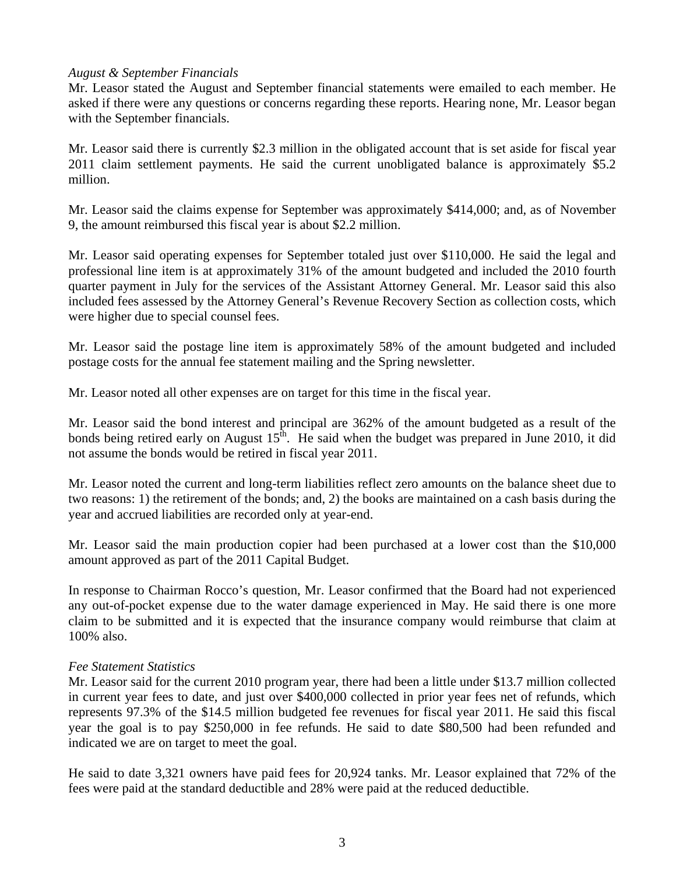## *August & September Financials*

Mr. Leasor stated the August and September financial statements were emailed to each member. He asked if there were any questions or concerns regarding these reports. Hearing none, Mr. Leasor began with the September financials.

Mr. Leasor said there is currently \$2.3 million in the obligated account that is set aside for fiscal year 2011 claim settlement payments. He said the current unobligated balance is approximately \$5.2 million.

Mr. Leasor said the claims expense for September was approximately \$414,000; and, as of November 9, the amount reimbursed this fiscal year is about \$2.2 million.

Mr. Leasor said operating expenses for September totaled just over \$110,000. He said the legal and professional line item is at approximately 31% of the amount budgeted and included the 2010 fourth quarter payment in July for the services of the Assistant Attorney General. Mr. Leasor said this also included fees assessed by the Attorney General's Revenue Recovery Section as collection costs, which were higher due to special counsel fees.

Mr. Leasor said the postage line item is approximately 58% of the amount budgeted and included postage costs for the annual fee statement mailing and the Spring newsletter.

Mr. Leasor noted all other expenses are on target for this time in the fiscal year.

Mr. Leasor said the bond interest and principal are 362% of the amount budgeted as a result of the bonds being retired early on August  $15<sup>th</sup>$ . He said when the budget was prepared in June 2010, it did not assume the bonds would be retired in fiscal year 2011.

Mr. Leasor noted the current and long-term liabilities reflect zero amounts on the balance sheet due to two reasons: 1) the retirement of the bonds; and, 2) the books are maintained on a cash basis during the year and accrued liabilities are recorded only at year-end.

Mr. Leasor said the main production copier had been purchased at a lower cost than the \$10,000 amount approved as part of the 2011 Capital Budget.

In response to Chairman Rocco's question, Mr. Leasor confirmed that the Board had not experienced any out-of-pocket expense due to the water damage experienced in May. He said there is one more claim to be submitted and it is expected that the insurance company would reimburse that claim at 100% also.

## *Fee Statement Statistics*

Mr. Leasor said for the current 2010 program year, there had been a little under \$13.7 million collected in current year fees to date, and just over \$400,000 collected in prior year fees net of refunds, which represents 97.3% of the \$14.5 million budgeted fee revenues for fiscal year 2011. He said this fiscal year the goal is to pay \$250,000 in fee refunds. He said to date \$80,500 had been refunded and indicated we are on target to meet the goal.

He said to date 3,321 owners have paid fees for 20,924 tanks. Mr. Leasor explained that 72% of the fees were paid at the standard deductible and 28% were paid at the reduced deductible.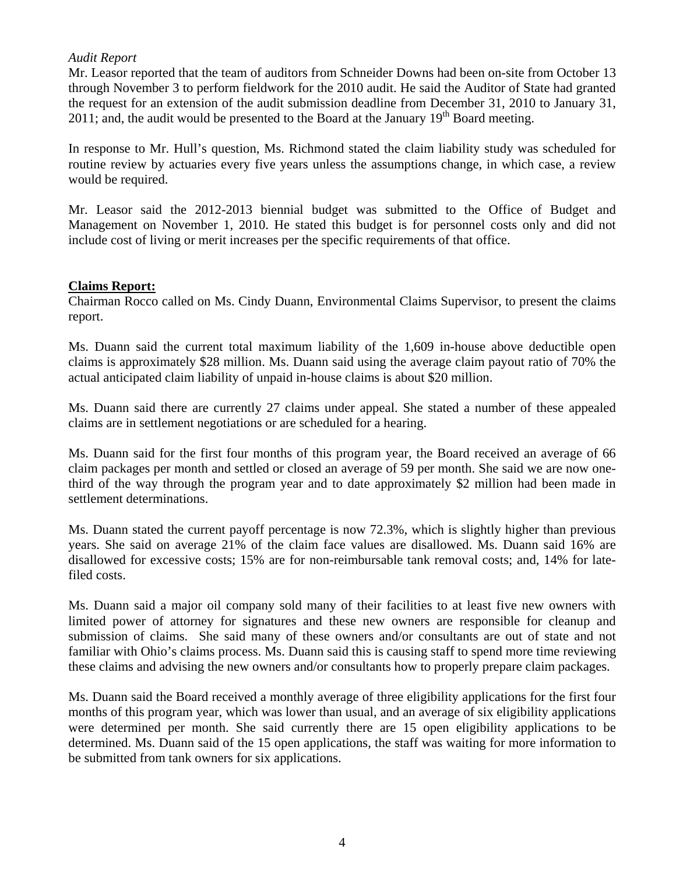## *Audit Report*

Mr. Leasor reported that the team of auditors from Schneider Downs had been on-site from October 13 through November 3 to perform fieldwork for the 2010 audit. He said the Auditor of State had granted the request for an extension of the audit submission deadline from December 31, 2010 to January 31, 2011; and, the audit would be presented to the Board at the January  $19<sup>th</sup>$  Board meeting.

In response to Mr. Hull's question, Ms. Richmond stated the claim liability study was scheduled for routine review by actuaries every five years unless the assumptions change, in which case, a review would be required.

Mr. Leasor said the 2012-2013 biennial budget was submitted to the Office of Budget and Management on November 1, 2010. He stated this budget is for personnel costs only and did not include cost of living or merit increases per the specific requirements of that office.

## **Claims Report:**

Chairman Rocco called on Ms. Cindy Duann, Environmental Claims Supervisor, to present the claims report.

Ms. Duann said the current total maximum liability of the 1,609 in-house above deductible open claims is approximately \$28 million. Ms. Duann said using the average claim payout ratio of 70% the actual anticipated claim liability of unpaid in-house claims is about \$20 million.

Ms. Duann said there are currently 27 claims under appeal. She stated a number of these appealed claims are in settlement negotiations or are scheduled for a hearing.

Ms. Duann said for the first four months of this program year, the Board received an average of 66 claim packages per month and settled or closed an average of 59 per month. She said we are now onethird of the way through the program year and to date approximately \$2 million had been made in settlement determinations.

Ms. Duann stated the current payoff percentage is now 72.3%, which is slightly higher than previous years. She said on average 21% of the claim face values are disallowed. Ms. Duann said 16% are disallowed for excessive costs; 15% are for non-reimbursable tank removal costs; and, 14% for latefiled costs.

Ms. Duann said a major oil company sold many of their facilities to at least five new owners with limited power of attorney for signatures and these new owners are responsible for cleanup and submission of claims. She said many of these owners and/or consultants are out of state and not familiar with Ohio's claims process. Ms. Duann said this is causing staff to spend more time reviewing these claims and advising the new owners and/or consultants how to properly prepare claim packages.

Ms. Duann said the Board received a monthly average of three eligibility applications for the first four months of this program year, which was lower than usual, and an average of six eligibility applications were determined per month. She said currently there are 15 open eligibility applications to be determined. Ms. Duann said of the 15 open applications, the staff was waiting for more information to be submitted from tank owners for six applications.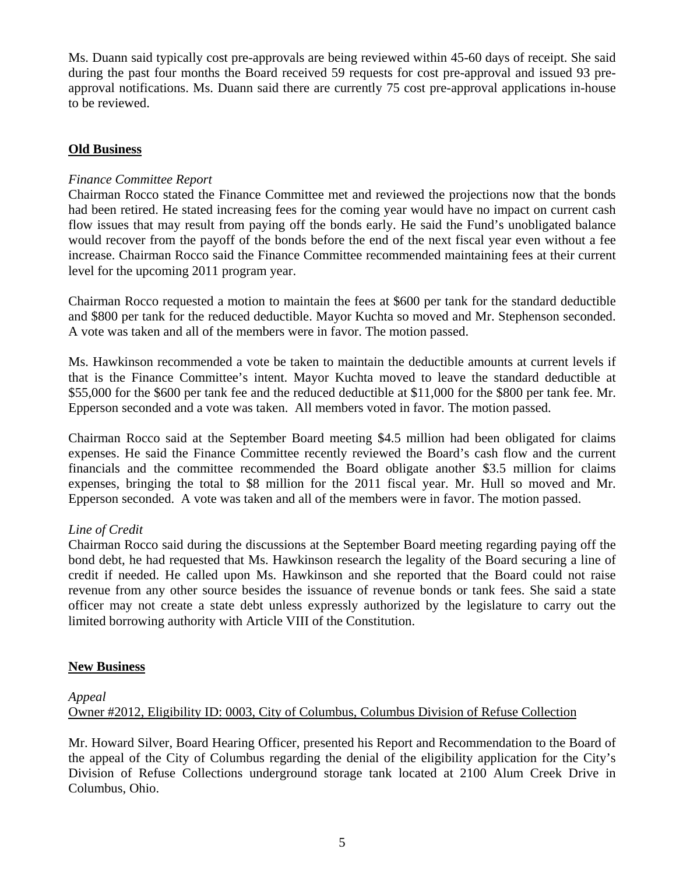Ms. Duann said typically cost pre-approvals are being reviewed within 45-60 days of receipt. She said during the past four months the Board received 59 requests for cost pre-approval and issued 93 preapproval notifications. Ms. Duann said there are currently 75 cost pre-approval applications in-house to be reviewed.

# **Old Business**

# *Finance Committee Report*

Chairman Rocco stated the Finance Committee met and reviewed the projections now that the bonds had been retired. He stated increasing fees for the coming year would have no impact on current cash flow issues that may result from paying off the bonds early. He said the Fund's unobligated balance would recover from the payoff of the bonds before the end of the next fiscal year even without a fee increase. Chairman Rocco said the Finance Committee recommended maintaining fees at their current level for the upcoming 2011 program year.

Chairman Rocco requested a motion to maintain the fees at \$600 per tank for the standard deductible and \$800 per tank for the reduced deductible. Mayor Kuchta so moved and Mr. Stephenson seconded. A vote was taken and all of the members were in favor. The motion passed.

Ms. Hawkinson recommended a vote be taken to maintain the deductible amounts at current levels if that is the Finance Committee's intent. Mayor Kuchta moved to leave the standard deductible at \$55,000 for the \$600 per tank fee and the reduced deductible at \$11,000 for the \$800 per tank fee. Mr. Epperson seconded and a vote was taken. All members voted in favor. The motion passed.

Chairman Rocco said at the September Board meeting \$4.5 million had been obligated for claims expenses. He said the Finance Committee recently reviewed the Board's cash flow and the current financials and the committee recommended the Board obligate another \$3.5 million for claims expenses, bringing the total to \$8 million for the 2011 fiscal year. Mr. Hull so moved and Mr. Epperson seconded. A vote was taken and all of the members were in favor. The motion passed.

# *Line of Credit*

Chairman Rocco said during the discussions at the September Board meeting regarding paying off the bond debt, he had requested that Ms. Hawkinson research the legality of the Board securing a line of credit if needed. He called upon Ms. Hawkinson and she reported that the Board could not raise revenue from any other source besides the issuance of revenue bonds or tank fees. She said a state officer may not create a state debt unless expressly authorized by the legislature to carry out the limited borrowing authority with Article VIII of the Constitution.

# **New Business**

## *Appeal*

Owner #2012, Eligibility ID: 0003, City of Columbus, Columbus Division of Refuse Collection

Mr. Howard Silver, Board Hearing Officer, presented his Report and Recommendation to the Board of the appeal of the City of Columbus regarding the denial of the eligibility application for the City's Division of Refuse Collections underground storage tank located at 2100 Alum Creek Drive in Columbus, Ohio.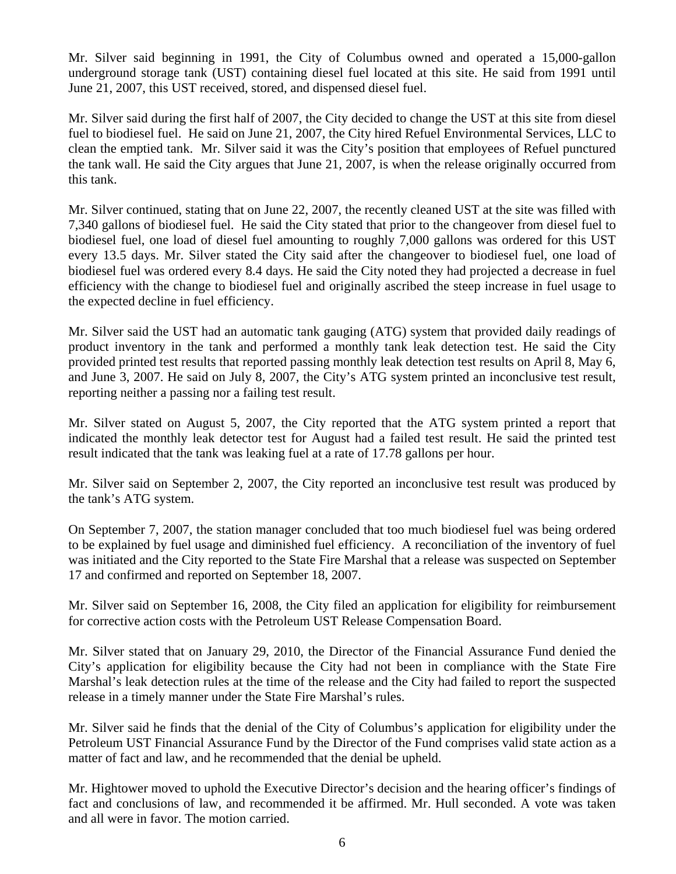Mr. Silver said beginning in 1991, the City of Columbus owned and operated a 15,000-gallon underground storage tank (UST) containing diesel fuel located at this site. He said from 1991 until June 21, 2007, this UST received, stored, and dispensed diesel fuel.

Mr. Silver said during the first half of 2007, the City decided to change the UST at this site from diesel fuel to biodiesel fuel. He said on June 21, 2007, the City hired Refuel Environmental Services, LLC to clean the emptied tank. Mr. Silver said it was the City's position that employees of Refuel punctured the tank wall. He said the City argues that June 21, 2007, is when the release originally occurred from this tank.

Mr. Silver continued, stating that on June 22, 2007, the recently cleaned UST at the site was filled with 7,340 gallons of biodiesel fuel. He said the City stated that prior to the changeover from diesel fuel to biodiesel fuel, one load of diesel fuel amounting to roughly 7,000 gallons was ordered for this UST every 13.5 days. Mr. Silver stated the City said after the changeover to biodiesel fuel, one load of biodiesel fuel was ordered every 8.4 days. He said the City noted they had projected a decrease in fuel efficiency with the change to biodiesel fuel and originally ascribed the steep increase in fuel usage to the expected decline in fuel efficiency.

Mr. Silver said the UST had an automatic tank gauging (ATG) system that provided daily readings of product inventory in the tank and performed a monthly tank leak detection test. He said the City provided printed test results that reported passing monthly leak detection test results on April 8, May 6, and June 3, 2007. He said on July 8, 2007, the City's ATG system printed an inconclusive test result, reporting neither a passing nor a failing test result.

Mr. Silver stated on August 5, 2007, the City reported that the ATG system printed a report that indicated the monthly leak detector test for August had a failed test result. He said the printed test result indicated that the tank was leaking fuel at a rate of 17.78 gallons per hour.

Mr. Silver said on September 2, 2007, the City reported an inconclusive test result was produced by the tank's ATG system.

On September 7, 2007, the station manager concluded that too much biodiesel fuel was being ordered to be explained by fuel usage and diminished fuel efficiency. A reconciliation of the inventory of fuel was initiated and the City reported to the State Fire Marshal that a release was suspected on September 17 and confirmed and reported on September 18, 2007.

Mr. Silver said on September 16, 2008, the City filed an application for eligibility for reimbursement for corrective action costs with the Petroleum UST Release Compensation Board.

Mr. Silver stated that on January 29, 2010, the Director of the Financial Assurance Fund denied the City's application for eligibility because the City had not been in compliance with the State Fire Marshal's leak detection rules at the time of the release and the City had failed to report the suspected release in a timely manner under the State Fire Marshal's rules.

Mr. Silver said he finds that the denial of the City of Columbus's application for eligibility under the Petroleum UST Financial Assurance Fund by the Director of the Fund comprises valid state action as a matter of fact and law, and he recommended that the denial be upheld.

Mr. Hightower moved to uphold the Executive Director's decision and the hearing officer's findings of fact and conclusions of law, and recommended it be affirmed. Mr. Hull seconded. A vote was taken and all were in favor. The motion carried.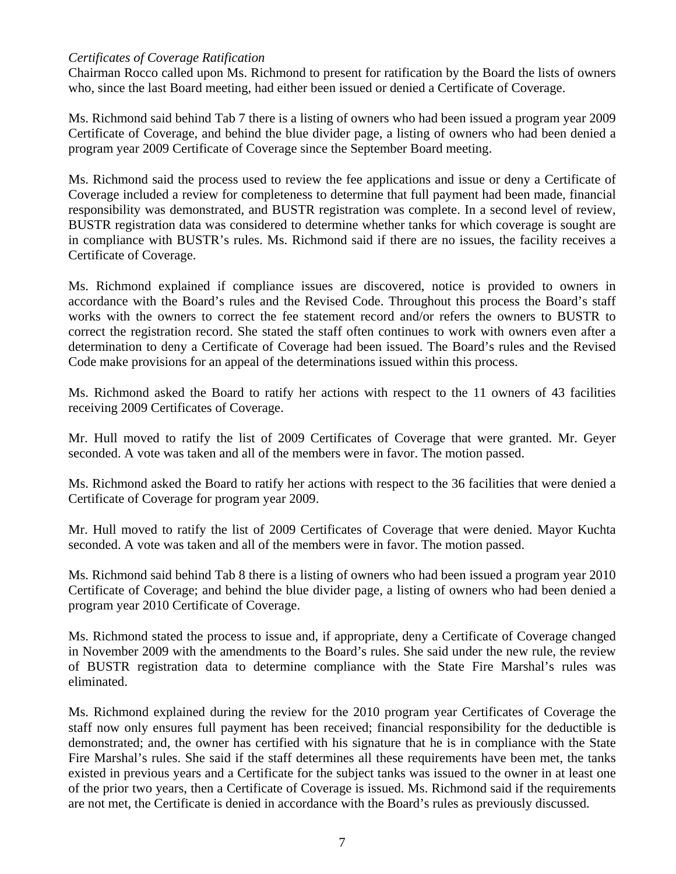## *Certificates of Coverage Ratification*

Chairman Rocco called upon Ms. Richmond to present for ratification by the Board the lists of owners who, since the last Board meeting, had either been issued or denied a Certificate of Coverage.

Ms. Richmond said behind Tab 7 there is a listing of owners who had been issued a program year 2009 Certificate of Coverage, and behind the blue divider page, a listing of owners who had been denied a program year 2009 Certificate of Coverage since the September Board meeting.

Ms. Richmond said the process used to review the fee applications and issue or deny a Certificate of Coverage included a review for completeness to determine that full payment had been made, financial responsibility was demonstrated, and BUSTR registration was complete. In a second level of review, BUSTR registration data was considered to determine whether tanks for which coverage is sought are in compliance with BUSTR's rules. Ms. Richmond said if there are no issues, the facility receives a Certificate of Coverage.

Ms. Richmond explained if compliance issues are discovered, notice is provided to owners in accordance with the Board's rules and the Revised Code. Throughout this process the Board's staff works with the owners to correct the fee statement record and/or refers the owners to BUSTR to correct the registration record. She stated the staff often continues to work with owners even after a determination to deny a Certificate of Coverage had been issued. The Board's rules and the Revised Code make provisions for an appeal of the determinations issued within this process.

Ms. Richmond asked the Board to ratify her actions with respect to the 11 owners of 43 facilities receiving 2009 Certificates of Coverage.

Mr. Hull moved to ratify the list of 2009 Certificates of Coverage that were granted. Mr. Geyer seconded. A vote was taken and all of the members were in favor. The motion passed.

Ms. Richmond asked the Board to ratify her actions with respect to the 36 facilities that were denied a Certificate of Coverage for program year 2009.

Mr. Hull moved to ratify the list of 2009 Certificates of Coverage that were denied. Mayor Kuchta seconded. A vote was taken and all of the members were in favor. The motion passed.

Ms. Richmond said behind Tab 8 there is a listing of owners who had been issued a program year 2010 Certificate of Coverage; and behind the blue divider page, a listing of owners who had been denied a program year 2010 Certificate of Coverage.

Ms. Richmond stated the process to issue and, if appropriate, deny a Certificate of Coverage changed in November 2009 with the amendments to the Board's rules. She said under the new rule, the review of BUSTR registration data to determine compliance with the State Fire Marshal's rules was eliminated.

Ms. Richmond explained during the review for the 2010 program year Certificates of Coverage the staff now only ensures full payment has been received; financial responsibility for the deductible is demonstrated; and, the owner has certified with his signature that he is in compliance with the State Fire Marshal's rules. She said if the staff determines all these requirements have been met, the tanks existed in previous years and a Certificate for the subject tanks was issued to the owner in at least one of the prior two years, then a Certificate of Coverage is issued. Ms. Richmond said if the requirements are not met, the Certificate is denied in accordance with the Board's rules as previously discussed.